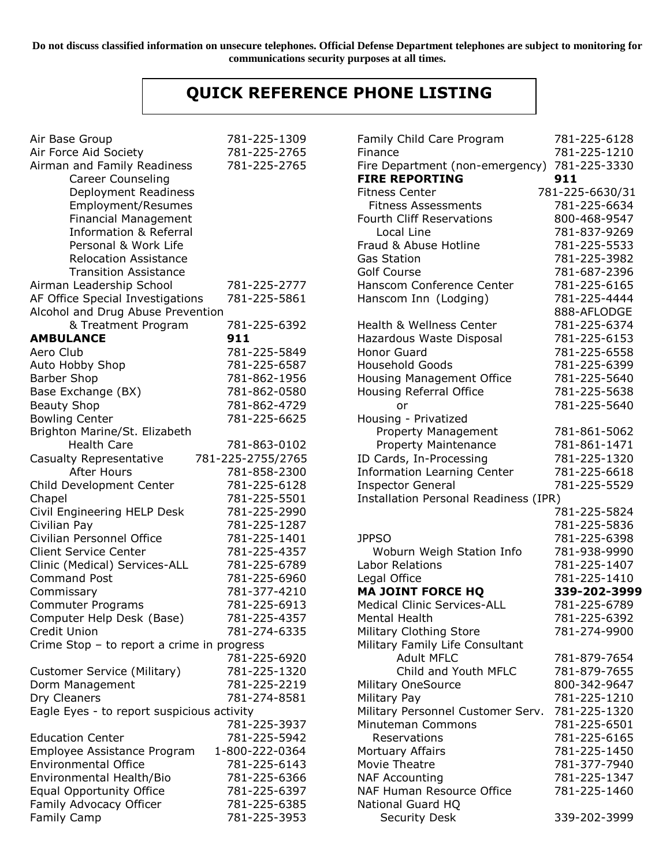**Do not discuss classified information on unsecure telephones. Official Defense Department telephones are subject to monitoring for communications security purposes at all times.**

## **QUICK REFERENCE PHONE LISTING**

| Air Base Group                             | 781-225-1309      | Family Child Care Program             | 781-225-6128    |
|--------------------------------------------|-------------------|---------------------------------------|-----------------|
| Air Force Aid Society                      | 781-225-2765      | Finance                               | 781-225-1210    |
| Airman and Family Readiness                | 781-225-2765      | Fire Department (non-emergency)       | 781-225-3330    |
| <b>Career Counseling</b>                   |                   | <b>FIRE REPORTING</b>                 | 911             |
| Deployment Readiness                       |                   | <b>Fitness Center</b>                 | 781-225-6630/31 |
| <b>Employment/Resumes</b>                  |                   | <b>Fitness Assessments</b>            | 781-225-6634    |
| <b>Financial Management</b>                |                   | <b>Fourth Cliff Reservations</b>      | 800-468-9547    |
| <b>Information &amp; Referral</b>          |                   | Local Line                            | 781-837-9269    |
| Personal & Work Life                       |                   | Fraud & Abuse Hotline                 | 781-225-5533    |
| <b>Relocation Assistance</b>               |                   | <b>Gas Station</b>                    | 781-225-3982    |
| <b>Transition Assistance</b>               |                   | <b>Golf Course</b>                    | 781-687-2396    |
| Airman Leadership School                   | 781-225-2777      | Hanscom Conference Center             | 781-225-6165    |
| AF Office Special Investigations           | 781-225-5861      | Hanscom Inn (Lodging)                 | 781-225-4444    |
| Alcohol and Drug Abuse Prevention          |                   |                                       | 888-AFLODGE     |
| & Treatment Program                        | 781-225-6392      | Health & Wellness Center              | 781-225-6374    |
| <b>AMBULANCE</b>                           | 911               | Hazardous Waste Disposal              | 781-225-6153    |
| Aero Club                                  | 781-225-5849      | Honor Guard                           | 781-225-6558    |
| Auto Hobby Shop                            | 781-225-6587      | <b>Household Goods</b>                | 781-225-6399    |
| <b>Barber Shop</b>                         | 781-862-1956      | Housing Management Office             | 781-225-5640    |
| Base Exchange (BX)                         | 781-862-0580      | Housing Referral Office               | 781-225-5638    |
| <b>Beauty Shop</b>                         | 781-862-4729      | or                                    | 781-225-5640    |
| <b>Bowling Center</b>                      | 781-225-6625      | Housing - Privatized                  |                 |
| Brighton Marine/St. Elizabeth              |                   | Property Management                   | 781-861-5062    |
| <b>Health Care</b>                         | 781-863-0102      | Property Maintenance                  | 781-861-1471    |
| Casualty Representative                    | 781-225-2755/2765 | ID Cards, In-Processing               | 781-225-1320    |
| After Hours                                | 781-858-2300      | <b>Information Learning Center</b>    | 781-225-6618    |
| Child Development Center                   | 781-225-6128      | <b>Inspector General</b>              | 781-225-5529    |
| Chapel                                     | 781-225-5501      | Installation Personal Readiness (IPR) |                 |
| Civil Engineering HELP Desk                | 781-225-2990      |                                       | 781-225-5824    |
| Civilian Pay                               | 781-225-1287      |                                       | 781-225-5836    |
| Civilian Personnel Office                  | 781-225-1401      | <b>JPPSO</b>                          | 781-225-6398    |
| <b>Client Service Center</b>               | 781-225-4357      | Woburn Weigh Station Info             | 781-938-9990    |
| Clinic (Medical) Services-ALL              | 781-225-6789      | Labor Relations                       | 781-225-1407    |
| <b>Command Post</b>                        | 781-225-6960      | Legal Office                          | 781-225-1410    |
| Commissary                                 | 781-377-4210      | <b>MA JOINT FORCE HQ</b>              | 339-202-3999    |
| <b>Commuter Programs</b>                   | 781-225-6913      | <b>Medical Clinic Services-ALL</b>    | 781-225-6789    |
| Computer Help Desk (Base)                  | 781-225-4357      | Mental Health                         | 781-225-6392    |
| Credit Union                               | 781-274-6335      | Military Clothing Store               | 781-274-9900    |
| Crime Stop - to report a crime in progress |                   | Military Family Life Consultant       |                 |
|                                            | 781-225-6920      | <b>Adult MFLC</b>                     | 781-879-7654    |
| Customer Service (Military)                | 781-225-1320      | Child and Youth MFLC                  | 781-879-7655    |
| Dorm Management                            | 781-225-2219      | <b>Military OneSource</b>             | 800-342-9647    |
| Dry Cleaners                               | 781-274-8581      | Military Pay                          | 781-225-1210    |
| Eagle Eyes - to report suspicious activity |                   | Military Personnel Customer Serv.     | 781-225-1320    |
|                                            | 781-225-3937      | Minuteman Commons                     | 781-225-6501    |
| <b>Education Center</b>                    | 781-225-5942      | Reservations                          | 781-225-6165    |
| Employee Assistance Program                | 1-800-222-0364    | Mortuary Affairs                      | 781-225-1450    |
| <b>Environmental Office</b>                | 781-225-6143      | Movie Theatre                         | 781-377-7940    |
| Environmental Health/Bio                   | 781-225-6366      | <b>NAF Accounting</b>                 | 781-225-1347    |
| <b>Equal Opportunity Office</b>            | 781-225-6397      | NAF Human Resource Office             | 781-225-1460    |
| Family Advocacy Officer                    | 781-225-6385      | National Guard HQ                     |                 |
| Family Camp                                | 781-225-3953      | <b>Security Desk</b>                  | 339-202-3999    |